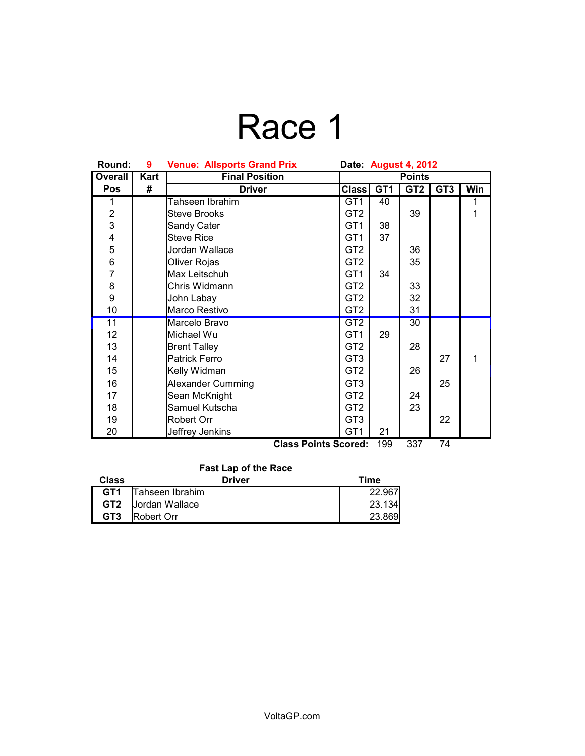# Race 1

| Round:                  | 9    | <b>Venue: Allsports Grand Prix</b> | Date: August 4, 2012 |                 |                 |                 |     |
|-------------------------|------|------------------------------------|----------------------|-----------------|-----------------|-----------------|-----|
| Overall                 | Kart | <b>Final Position</b>              | <b>Points</b>        |                 |                 |                 |     |
| <b>Pos</b>              | #    | <b>Driver</b>                      | <b>Class</b>         | GT <sub>1</sub> | GT <sub>2</sub> | GT <sub>3</sub> | Win |
| 1                       |      | Tahseen Ibrahim                    | GT <sub>1</sub>      | 40              |                 |                 | 1   |
| $\overline{\mathbf{c}}$ |      | <b>Steve Brooks</b>                | GT <sub>2</sub>      |                 | 39              |                 | 1   |
| 3                       |      | Sandy Cater                        | GT <sub>1</sub>      | 38              |                 |                 |     |
| 4                       |      | <b>Steve Rice</b>                  | GT <sub>1</sub>      | 37              |                 |                 |     |
| 5                       |      | Jordan Wallace                     | GT <sub>2</sub>      |                 | 36              |                 |     |
| 6                       |      | Oliver Rojas                       | GT <sub>2</sub>      |                 | 35              |                 |     |
| $\overline{7}$          |      | Max Leitschuh                      | GT <sub>1</sub>      | 34              |                 |                 |     |
| 8                       |      | Chris Widmann                      | GT <sub>2</sub>      |                 | 33              |                 |     |
| 9                       |      | John Labay                         | GT <sub>2</sub>      |                 | 32              |                 |     |
| 10                      |      | Marco Restivo                      | GT <sub>2</sub>      |                 | 31              |                 |     |
| 11                      |      | Marcelo Bravo                      | GT <sub>2</sub>      |                 | 30              |                 |     |
| 12                      |      | Michael Wu                         | GT <sub>1</sub>      | 29              |                 |                 |     |
| 13                      |      | <b>Brent Talley</b>                | GT <sub>2</sub>      |                 | 28              |                 |     |
| 14                      |      | <b>Patrick Ferro</b>               | GT <sub>3</sub>      |                 |                 | 27              | 1   |
| 15                      |      | Kelly Widman                       | GT <sub>2</sub>      |                 | 26              |                 |     |
| 16                      |      | Alexander Cumming                  | GT <sub>3</sub>      |                 |                 | 25              |     |
| 17                      |      | Sean McKnight                      | GT <sub>2</sub>      |                 | 24              |                 |     |
| 18                      |      | Samuel Kutscha                     | GT <sub>2</sub>      |                 | 23              |                 |     |
| 19                      |      | Robert Orr                         | GT <sub>3</sub>      |                 |                 | 22              |     |
| 20                      |      | Jeffrey Jenkins                    | GT <sub>1</sub>      | 21              |                 |                 |     |
|                         |      | Class Points Scored:               |                      | 100             | 337             | 74              |     |

### **Class Points Scored:** 199 337 74

#### **Fast Lap of the Race Class** Driver Time<br> **CT1** Tahseen Ibrahim 22.967 **GT1** 22.967 Tahseen Ibrahim**GT2** Jordan Wallace 23.134<br> **GT3** Robert Orr 23.869 **Robert Orr**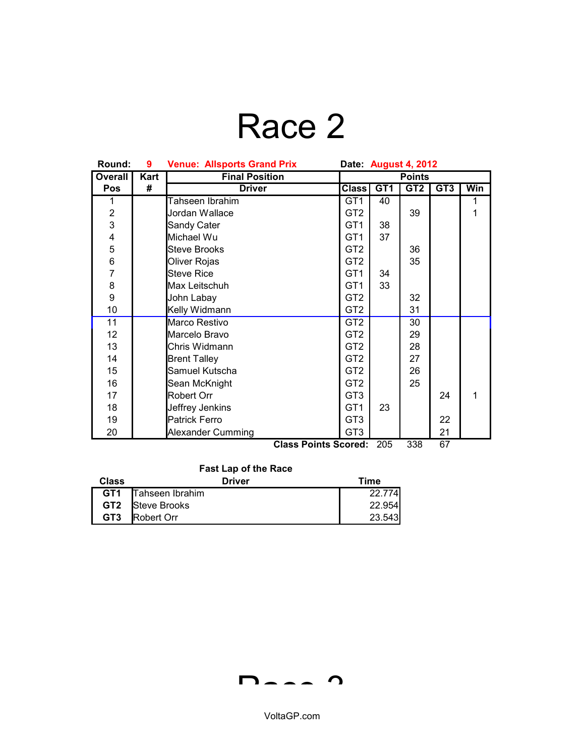## Race 2

| Round:                                          | 9    | <b>Venue: Allsports Grand Prix</b><br>Date: August 4, 2012 |                 |     |                 |                 |     |
|-------------------------------------------------|------|------------------------------------------------------------|-----------------|-----|-----------------|-----------------|-----|
| <b>Overall</b>                                  | Kart | <b>Final Position</b>                                      | <b>Points</b>   |     |                 |                 |     |
| Pos                                             | #    | <b>Driver</b>                                              | <b>Class</b>    | GT1 | GT <sub>2</sub> | GT <sub>3</sub> | Win |
| 1                                               |      | Tahseen Ibrahim                                            | GT1             | 40  |                 |                 | 1   |
| $\overline{c}$                                  |      | Jordan Wallace                                             | GT <sub>2</sub> |     | 39              |                 | 1   |
| 3                                               |      | Sandy Cater                                                | GT <sub>1</sub> | 38  |                 |                 |     |
| 4                                               |      | Michael Wu                                                 | GT <sub>1</sub> | 37  |                 |                 |     |
| 5                                               |      | <b>Steve Brooks</b>                                        | GT <sub>2</sub> |     | 36              |                 |     |
| 6                                               |      | Oliver Rojas                                               | GT <sub>2</sub> |     | 35              |                 |     |
| $\overline{7}$                                  |      | Steve Rice                                                 | GT <sub>1</sub> | 34  |                 |                 |     |
| 8                                               |      | Max Leitschuh                                              | GT <sub>1</sub> | 33  |                 |                 |     |
| 9                                               |      | John Labay                                                 | GT <sub>2</sub> |     | 32              |                 |     |
| 10                                              |      | Kelly Widmann                                              | GT <sub>2</sub> |     | 31              |                 |     |
| 11                                              |      | Marco Restivo                                              | GT <sub>2</sub> |     | 30              |                 |     |
| 12 <sub>2</sub>                                 |      | Marcelo Bravo                                              | GT <sub>2</sub> |     | 29              |                 |     |
| 13                                              |      | Chris Widmann                                              | GT <sub>2</sub> |     | 28              |                 |     |
| 14                                              |      | <b>Brent Talley</b>                                        | GT <sub>2</sub> |     | 27              |                 |     |
| 15                                              |      | Samuel Kutscha                                             | GT <sub>2</sub> |     | 26              |                 |     |
| 16                                              |      | Sean McKnight                                              | GT <sub>2</sub> |     | 25              |                 |     |
| 17                                              |      | Robert Orr                                                 | GT <sub>3</sub> |     |                 | 24              | 1   |
| 18                                              |      | Jeffrey Jenkins                                            | GT <sub>1</sub> | 23  |                 |                 |     |
| 19                                              |      | <b>Patrick Ferro</b>                                       | GT <sub>3</sub> |     |                 | 22              |     |
| 20                                              |      | Alexander Cumming                                          | GT <sub>3</sub> |     |                 | 21              |     |
| 67<br>205<br>338<br><b>Class Points Scored:</b> |      |                                                            |                 |     |                 |                 |     |

### **Fast Lap of the Race**

| Class           | <b>Driver</b>      | Time   |
|-----------------|--------------------|--------|
| GT <sub>1</sub> | Tahseen Ibrahim    | 22.774 |
| GT <sub>2</sub> | Steve Brooks       | 22.954 |
| GT <sub>3</sub> | <b>IRobert Orr</b> | 23.543 |

$$
\mathsf{D}\mathsf{L}\mathsf{L}\mathsf{L}\mathsf{D}
$$